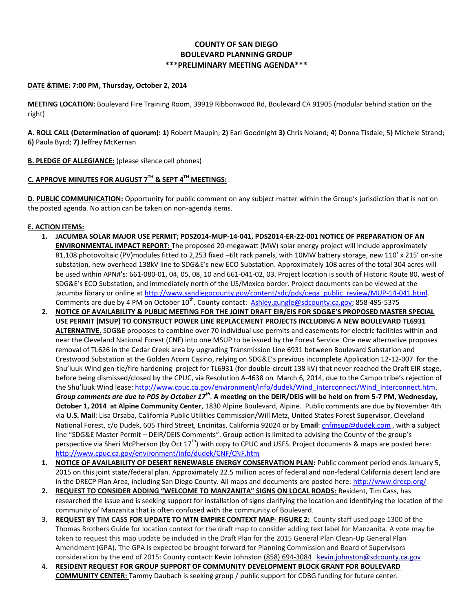# **COUNTY OF SAN DIEGO BOULEVARD PLANNING GROUP \*\*\*PRELIMINARY MEETING AGENDA\*\*\***

### **DATE &TIME: 7:00 PM, Thursday, October 2, 2014**

**MEETING LOCATION:** Boulevard Fire Training Room, 39919 Ribbonwood Rd, Boulevard CA 91905 (modular behind station on the right)

**A. ROLL CALL (Determination of quorum): 1)** Robert Maupin; **2)** Earl Goodnight **3)** Chris Noland; **4**) Donna Tisdale; 5**)** Michele Strand; **6)** Paula Byrd; **7)** Jeffrey McKernan

**B. PLEDGE OF ALLEGIANCE:** (please silence cell phones)

# **C. APPROVE MINUTES FOR AUGUST 7TH & SEPT 4TH MEETINGS:**

**D. PUBLIC COMMUNICATION:** Opportunity for public comment on any subject matter within the Group's jurisdiction that is not on the posted agenda. No action can be taken on non-agenda items.

## **E. ACTION ITEMS:**

- **1. JACUMBA SOLAR MAJOR USE PERMIT; PDS2014-MUP-14-041, PDS2014-ER-22-001 NOTICE OF PREPARATION OF AN ENVIRONMENTAL IMPACT REPORT:** The proposed 20-megawatt (MW) solar energy project will include approximately 81,108 photovoltaic (PV)modules fitted to 2,253 fixed –tilt rack panels, with 10MW battery storage, new 110' x 215' on-site substation, new overhead 138kV line to SDG&E's new ECO Substation. Approximately 108 acres of the total 304 acres will be used within APN#'s: 661-080-01, 04, 05, 08, 10 and 661-041-02, 03. Project location is south of Historic Route 80, west of SDG&E's ECO Substation, and immediately north of the US/Mexico border. Project documents can be viewed at the Jacumba library or online at [http://www.sandiegocounty.gov/content/sdc/pds/ceqa\\_public\\_review/MUP-14-041.html.](http://www.sandiegocounty.gov/content/sdc/pds/ceqa_public_review/MUP-14-041.html) Comments are due by 4 PM on October 10<sup>th</sup>. County contact: [Ashley.gungle@sdcounty.ca.gov;](mailto:Ashley.gungle@sdcounty.ca.gov) 858-495-5375
- **2. NOTICE OF AVAILABILITY & PUBLIC MEETING FOR THE JOINT DRAFT EIR/EIS FOR SDG&E'S PROPOSED MASTER SPECIAL USE PERMIT (MSUP) TO CONSTRUCT POWER LINE REPLACEMENT PROJECTS INCLUDING A NEW BOULEVARD TL6931 ALTERNATIVE.** SDG&E proposes to combine over 70 individual use permits and easements for electric facilities within and near the Cleveland National Forest (CNF) into one MSUP to be issued by the Forest Service. One new alternative proposes removal of TL626 in the Cedar Creek area by upgrading Transmission Line 6931 between Boulevard Substation and Crestwood Substation at the Golden Acorn Casino, relying on SDG&E's previous incomplete Application 12-12-007 for the Shu'luuk Wind gen-tie/fire hardening project for TL6931 (for double-circuit 138 kV) that never reached the Draft EIR stage, before being dismissed/closed by the CPUC, via Resolution A-4638 on March 6, 2014, due to the Campo tribe's rejection of the Shu'luuk Wind lease: [http://www.cpuc.ca.gov/environment/info/dudek/Wind\\_Interconnect/Wind\\_Interconnect.htm.](http://www.cpuc.ca.gov/environment/info/dudek/Wind_Interconnect/Wind_Interconnect.htm) *Group comments are due to PDS by October 17th* . **A meeting on the DEIR/DEIS will be held on from 5-7 PM, Wednesday, October 1, 2014 at Alpine Community Center**, 1830 Alpine Boulevard, Alpine. Public comments are due by November 4th via **U.S. Mail**: Lisa Orsaba, California Public Utilities Commission/Will Metz, United States Forest Supervisor, Cleveland National Forest, c/o Dudek, 605 Third Street, Encinitas, California 92024 or by **Email**[: cnfmsup@dudek.com](mailto:cnfmsup@dudek.com) , with a subject line "SDG&E Master Permit – DEIR/DEIS Comments". Group action is limited to advising the County of the group's perspective via Sheri McPherson (by Oct  $17^{th}$ ) with copy to CPUC and USFS. Project documents & maps are posted here: <http://www.cpuc.ca.gov/environment/info/dudek/CNF/CNF.htm>
- **1. NOTICE OF AVAILABILITY OF DESERT RENEWABLE ENERGY CONSERVATION PLAN:** Public comment period ends January 5, 2015 on this joint state/federal plan. Approximately 22.5 million acres of federal and non-federal California desert land are in the DRECP Plan Area, including San Diego County. All maps and documents are posted here:<http://www.drecp.org/>
- **2. REQUEST TO CONSIDER ADDING "WELCOME TO MANZANITA" SIGNS ON LOCAL ROADS:** Resident, Tim Cass, has researched the issue and is seeking support for installation of signs clarifying the location and identifying the location of the community of Manzanita that is often confused with the community of Boulevard.
- 3. **REQUEST BY TIM CASS FOR UPDATE TO MTN EMPIRE CONTEXT MAP- FIGURE 2:** County staff used page 1300 of the Thomas Brothers Guide for location context for the draft map to consider adding text label for Manzanita. A vote may be taken to request this map update be included in the Draft Plan for the 2015 General Plan Clean-Up General Plan Amendment (GPA). The GPA is expected be brought forward for Planning Commission and Board of Supervisors consideration by the end of 2015: County contact: Kevin Johnsto[n \(858\) 694-3084](tel:%28858%29%20694-3084) [kevin.johnston@sdcounty.ca.gov](mailto:kevin.johnston@sdcounty.ca.gov)
- 4. **RESIDENT REQUEST FOR GROUP SUPPORT OF COMMUNITY DEVELOPMENT BLOCK GRANT FOR BOULEVARD COMMUNITY CENTER:** Tammy Daubach is seeking group / public support for CDBG funding for future center.